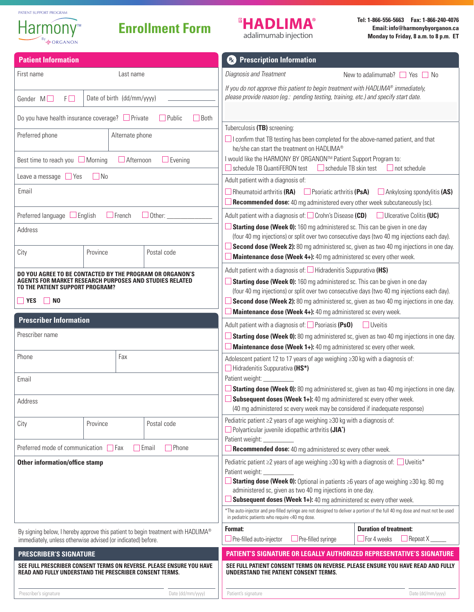

## **Enrollment Form**

# **<sup>B</sup>HADLIMA®**

adalimumab injection

**Tel: 1-866-556-5663 Fax: 1-866-240-4076 Email:info@harmonybyorganon.ca Monday to Friday, 8 a.m. to 8 p.m. ET**

| <b>Patient Information</b>                                                                                                                                                                       |          |                   | <b>B</b> Prescription Information                                                                                                                                                                                                                                                                                                                                                                                        |  |
|--------------------------------------------------------------------------------------------------------------------------------------------------------------------------------------------------|----------|-------------------|--------------------------------------------------------------------------------------------------------------------------------------------------------------------------------------------------------------------------------------------------------------------------------------------------------------------------------------------------------------------------------------------------------------------------|--|
| First name<br>Last name                                                                                                                                                                          |          |                   | Diagnosis and Treatment<br>New to adalimumab? $\Box$ Yes $\Box$ No                                                                                                                                                                                                                                                                                                                                                       |  |
| Date of birth (dd/mm/yyyy)<br>Gender $M \Box$<br>$F\square$                                                                                                                                      |          |                   | If you do not approve this patient to begin treatment with HADLIMA® immediately,<br>please provide reason (eg.: pending testing, training, etc.) and specify start date.                                                                                                                                                                                                                                                 |  |
| Do you have health insurance coverage? □ Private<br>$\Box$ Public<br><b>Both</b>                                                                                                                 |          |                   |                                                                                                                                                                                                                                                                                                                                                                                                                          |  |
| Preferred phone<br>Alternate phone                                                                                                                                                               |          |                   | Tuberculosis (TB) screening:<br>$\Box$ I confirm that TB testing has been completed for the above-named patient, and that<br>he/she can start the treatment on HADLIMA®                                                                                                                                                                                                                                                  |  |
| Best time to reach you $\Box$ Morning<br>$\Box$ Afternoon<br>$\Box$ Evening                                                                                                                      |          |                   | I would like the HARMONY BY ORGANON™ Patient Support Program to:<br>schedule TB QuantiFERON test<br>$\Box$ schedule TB skin test<br>$\Box$ not schedule                                                                                                                                                                                                                                                                  |  |
| Leave a message $\Box$ Yes<br>$\Box$ No                                                                                                                                                          |          |                   | Adult patient with a diagnosis of:                                                                                                                                                                                                                                                                                                                                                                                       |  |
| Email                                                                                                                                                                                            |          |                   | $\Box$ Rheumatoid arthritis (RA) $\Box$ Psoriatic arthritis (PsA)<br>$\Box$ Ankylosing spondylitis (AS)<br><b>Recommended dose:</b> 40 mg administered every other week subcutaneously (sc).                                                                                                                                                                                                                             |  |
| Preferred language $\Box$ English<br>$\Box$ French<br>$\Box$ Other: $\_\_$                                                                                                                       |          |                   | Adult patient with a diagnosis of: $\Box$ Crohn's Disease (CD)<br>$\Box$ Ulcerative Colitis (UC)                                                                                                                                                                                                                                                                                                                         |  |
| Address                                                                                                                                                                                          |          |                   | <b>Starting dose (Week 0):</b> 160 mg administered sc. This can be given in one day<br>(four 40 mg injections) or split over two consecutive days (two 40 mg injections each day).                                                                                                                                                                                                                                       |  |
| City                                                                                                                                                                                             | Province | Postal code       | Second dose (Week 2): 80 mg administered sc, given as two 40 mg injections in one day.<br>Maintenance dose (Week 4+): 40 mg administered sc every other week.                                                                                                                                                                                                                                                            |  |
| DO YOU AGREE TO BE CONTACTED BY THE PROGRAM OR ORGANON'S<br><b>AGENTS FOR MARKET RESEARCH PURPOSES AND STUDIES RELATED</b><br>TO THE PATIENT SUPPORT PROGRAM?<br>$\Box$ YES<br>$\blacksquare$ NO |          |                   | Adult patient with a diagnosis of: $\Box$ Hidradenitis Suppurativa (HS)<br>Starting dose (Week 0): 160 mg administered sc. This can be given in one day<br>(four 40 mg injections) or split over two consecutive days (two 40 mg injections each day).<br>Second dose (Week 2): 80 mg administered sc, given as two 40 mg injections in one day.<br><b>Maintenance dose (Week 4+):</b> 40 mg administered sc every week. |  |
| <b>Prescriber Information</b>                                                                                                                                                                    |          |                   | Adult patient with a diagnosis of: $\Box$ Psoriasis (PsO)<br>  Uveitis                                                                                                                                                                                                                                                                                                                                                   |  |
| Prescriber name                                                                                                                                                                                  |          |                   | Starting dose (Week 0): 80 mg administered sc, given as two 40 mg injections in one day.                                                                                                                                                                                                                                                                                                                                 |  |
|                                                                                                                                                                                                  |          |                   | <b>Maintenance dose (Week 1+):</b> 40 mg administered sc every other week.                                                                                                                                                                                                                                                                                                                                               |  |
| Fax<br>Phone                                                                                                                                                                                     |          |                   | Adolescent patient 12 to 17 years of age weighing ≥30 kg with a diagnosis of:<br>Hidradenitis Suppurativa (HS*)                                                                                                                                                                                                                                                                                                          |  |
| Email                                                                                                                                                                                            |          |                   | Patient weight: __                                                                                                                                                                                                                                                                                                                                                                                                       |  |
| Address                                                                                                                                                                                          |          |                   | Starting dose (Week 0): 80 mg administered sc, given as two 40 mg injections in one day.<br>$\Box$ Subsequent doses (Week 1+): 40 mg administered sc every other week.<br>(40 mg administered sc every week may be considered if inadequate response)                                                                                                                                                                    |  |
| City                                                                                                                                                                                             | Province | Postal code       | Pediatric patient ≥2 years of age weighing ≥30 kg with a diagnosis of:<br>$\Box$ Polyarticular juvenile idiopathic arthritis (JIA*)                                                                                                                                                                                                                                                                                      |  |
| Preferred mode of communication $\Box$ Fax<br>$\Box$ Phone<br><b>TEmail</b>                                                                                                                      |          |                   | Patient weight: ___________<br><b>Recommended dose:</b> 40 mg administered sc every other week.                                                                                                                                                                                                                                                                                                                          |  |
| <b>Other information/office stamp</b>                                                                                                                                                            |          |                   | Pediatric patient ≥2 years of age weighing ≥30 kg with a diagnosis of: Uveitis*                                                                                                                                                                                                                                                                                                                                          |  |
|                                                                                                                                                                                                  |          |                   | Patient weight: __<br>Starting dose (Week 0): Optional in patients $\geq$ 6 years of age weighing $\geq$ 30 kg. 80 mg<br>administered sc, given as two 40 mg injections in one day.<br>Subsequent doses (Week 1+): 40 mg administered sc every other week.                                                                                                                                                               |  |
|                                                                                                                                                                                                  |          |                   | *The auto-injector and pre-filled syringe are not designed to deliver a portion of the full 40 mg dose and must not be used<br>in pediatric patients who require <40 mg dose.                                                                                                                                                                                                                                            |  |
| By signing below, I hereby approve this patient to begin treatment with HADLIMA®<br>immediately, unless otherwise advised (or indicated) before.                                                 |          |                   | <b>Duration of treatment:</b><br>Format:<br>$\Box$ Repeat X<br>$\Box$ Pre-filled auto-injector<br>$\Box$ Pre-filled syringe<br>$\Box$ For 4 weeks                                                                                                                                                                                                                                                                        |  |
| <b>PRESCRIBER'S SIGNATURE</b>                                                                                                                                                                    |          |                   | PATIENT'S SIGNATURE OR LEGALLY AUTHORIZED REPRESENTATIVE'S SIGNATURE                                                                                                                                                                                                                                                                                                                                                     |  |
| SEE FULL PRESCRIBER CONSENT TERMS ON REVERSE. PLEASE ENSURE YOU HAVE<br>READ AND FULLY UNDERSTAND THE PRESCRIBER CONSENT TERMS.                                                                  |          |                   | SEE FULL PATIENT CONSENT TERMS ON REVERSE. PLEASE ENSURE YOU HAVE READ AND FULLY<br>UNDERSTAND THE PATIENT CONSENT TERMS.                                                                                                                                                                                                                                                                                                |  |
| Prescriber's signature                                                                                                                                                                           |          | Date (dd/mm/yyyy) | Date (dd/mm/yyyy)<br>Patient's signature                                                                                                                                                                                                                                                                                                                                                                                 |  |